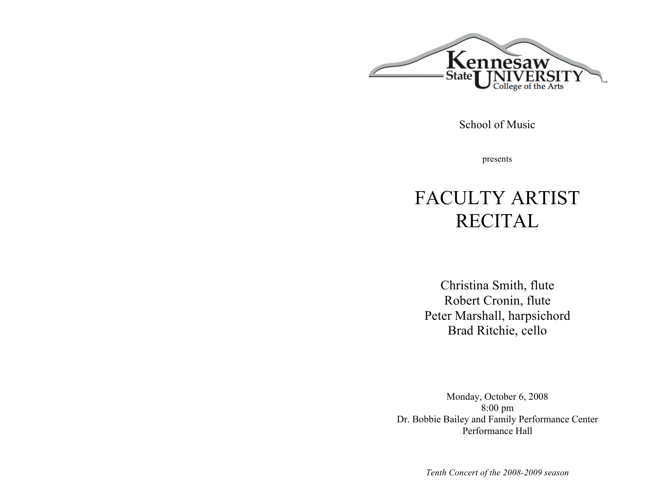

School of Music

presents

# FACULTY ARTIST RECITAL

Christina Smith, flute Robert Cronin, flute Peter Marshall, harpsichord Brad Ritchie, cello

Monday, October 6, 2008 8:00 pm Dr. Bobbie Bailey and Family Performance Center Performance Hall

*Tenth Concert of the 2008-2009 season*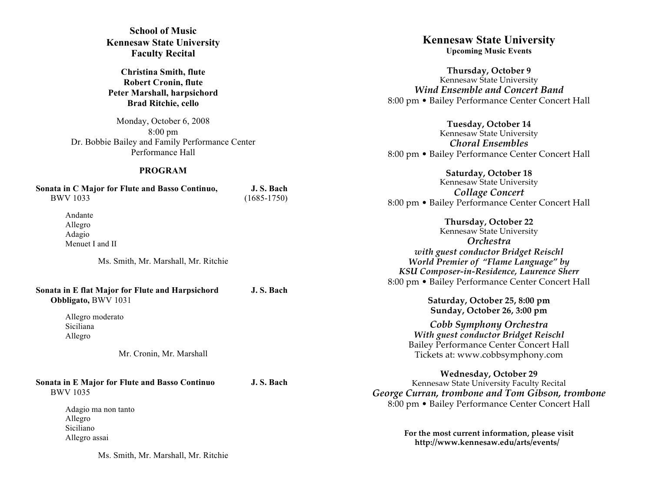**School of Music Kennesaw State University Faculty Recital**

**Christina Smith, flute Robert Cronin, flute Peter Marshall, harpsichord Brad Ritchie, cello**

Monday, October 6, 2008 8:00 pm Dr. Bobbie Bailey and Family Performance Center Performance Hall

## **PROGRAM**

| Sonata in C Major for Flute and Basso Continuo, | J. S. Bach      |  |
|-------------------------------------------------|-----------------|--|
| <b>BWV 1033</b>                                 | $(1685 - 1750)$ |  |
| Andonto                                         |                 |  |

Andante Allegro Adagio Menuet I and II

Ms. Smith, Mr. Marshall, Mr. Ritchie

**Sonata in E flat Major for Flute and Harpsichord J. S. Bach Obbligato,** BWV 1031

> Allegro moderato Siciliana Allegro

> > Mr. Cronin, Mr. Marshall

**Sonata in E Major for Flute and Basso Continuo J. S. Bach** BWV 1035

> Adagio ma non tanto Allegro Siciliano Allegro assai

> > Ms. Smith, Mr. Marshall, Mr. Ritchie

**Kennesaw State University Upcoming Music Events**

**Thursday, October 9** Kennesaw State University *Wind Ensemble and Concert Band* 8:00 pm • Bailey Performance Center Concert Hall

**Tuesday, October 14** Kennesaw State University *Choral Ensembles* 8:00 pm • Bailey Performance Center Concert Hall

**Saturday, October 18** Kennesaw State University *Collage Concert* 8:00 pm • Bailey Performance Center Concert Hall

**Thursday, October 22** Kennesaw State University *Orchestra with guest conductor Bridget Reischl World Premier of "Flame Language" by KSU Composer-in-Residence, Laurence Sherr* 8:00 pm • Bailey Performance Center Concert Hall

> **Saturday, October 25, 8:00 pm Sunday, October 26, 3:00 pm**

*Cobb Symphony Orchestra With guest conductor Bridget Reischl* Bailey Performance Center Concert Hall Tickets at: www.cobbsymphony.com

**Wednesday, October 29** Kennesaw State University Faculty Recital *George Curran, trombone and Tom Gibson, trombone* 8:00 pm • Bailey Performance Center Concert Hall

> **For the most current information, please visit http://www.kennesaw.edu/arts/events/**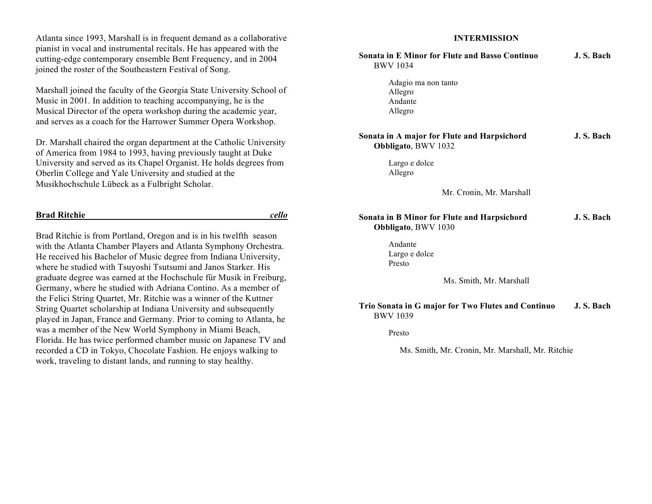Atlanta since 1993, Marshall is in frequent demand as a collaborative pianist in vocal and instrumental recitals. He has appeared with the cutting-edge contemporary ensemble Bent Frequency, and in 2004 joined the roster of the Southeastern Festival of Song.

Marshall joined the faculty of the Georgia State University School of Music in 2001. In addition to teaching accompanying, he is the Musical Director of the opera workshop during the academic year, and serves as a coach for the Harrower Summer Opera Workshop.

Dr. Marshall chaired the organ department at the Catholic University of America from 1984 to 1993, having previously taught at Duke University and served as its Chapel Organist. He holds degrees from Oberlin College and Yale University and studied at the Musikhochschule Lübeck as a Fulbright Scholar.

## **Brad Ritchie** *cello*

Brad Ritchie is from Portland, Oregon and is in his twelfth season with the Atlanta Chamber Players and Atlanta Symphony Orchestra. He received his Bachelor of Music degree from Indiana University, where he studied with Tsuyoshi Tsutsumi and Janos Starker. His graduate degree was earned at the Hochschule für Musik in Freiburg, Germany, where he studied with Adriana Contino. As a member of the Felici String Quartet, Mr. Ritchie was a winner of the Kuttner String Quartet scholarship at Indiana University and subsequently played in Japan, France and Germany. Prior to coming to Atlanta, he was a member of the New World Symphony in Miami Beach, Florida. He has twice performed chamber music on Japanese TV and recorded a CD in Tokyo, Chocolate Fashion. He enjoys walking to work, traveling to distant lands, and running to stay healthy.

## **INTERMISSION**

| <b>Sonata in E Minor for Flute and Basso Continuo</b><br><b>BWV 1034</b>  | J. S. Bach |
|---------------------------------------------------------------------------|------------|
| Adagio ma non tanto<br>Allegro<br>Andante<br>Allegro                      |            |
| Sonata in A major for Flute and Harpsichord<br>Obbligato, BWV 1032        | J. S. Bach |
| Largo e dolce<br>Allegro                                                  |            |
| Mr. Cronin, Mr. Marshall                                                  |            |
| <b>Sonata in B Minor for Flute and Harpsichord</b><br>Obbligato, BWV 1030 | J.S. Bach  |
| Andante<br>Largo e dolce<br>Presto                                        |            |
| Ms. Smith, Mr. Marshall                                                   |            |
| Trio Sonata in G major for Two Flutes and Continuo<br><b>BWV 1039</b>     | J.S. Bach  |
| Presto                                                                    |            |
| Ms. Smith, Mr. Cronin, Mr. Marshall, Mr. Ritchie                          |            |